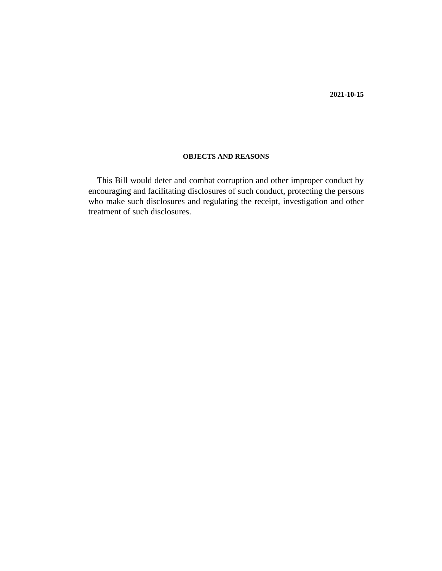#### **OBJECTS AND REASONS**

This Bill would deter and combat corruption and other improper conduct by encouraging and facilitating disclosures of such conduct, protecting the persons who make such disclosures and regulating the receipt, investigation and other treatment of such disclosures.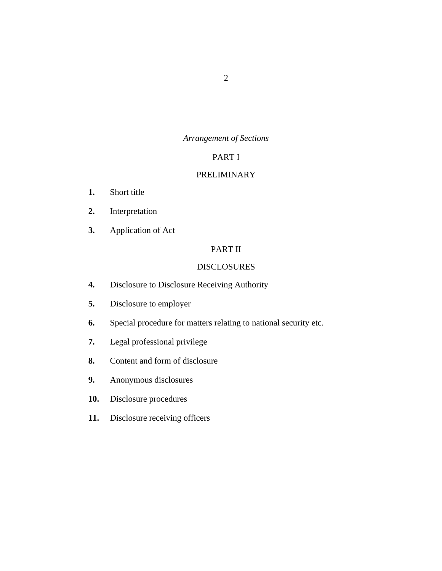### *Arrangement of Sections*

#### PART I

#### [PRELIMINARY](#page-5-0)

- [Short title](#page-5-0) **1.**
- [Interpretation](#page-5-0) **2.**
- [Application of Act](#page-9-0) **3.**

# PART II

#### [DISCLOSURES](#page-9-0)

- [Disclosure to Disclosure Receiving Authority](#page-9-0) **4.**
- [Disclosure to employer](#page-10-0) **5.**
- [Special procedure for matters relating to national security etc.](#page-10-0) **6.**
- [Legal professional privilege](#page-10-0) **7.**
- [Content and form of disclosure](#page-10-0) **8.**
- [Anonymous disclosures](#page-11-0) **9.**
- [Disclosure procedures](#page-11-0) **10.**
- [Disclosure receiving officers](#page-12-0) **11.**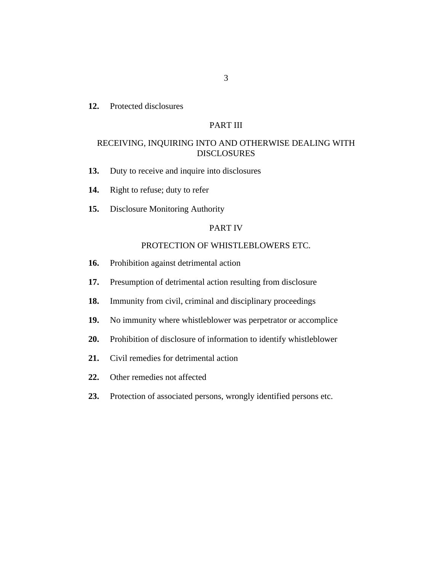[Protected disclosures](#page-12-0) **12.**

#### PART III

#### [RECEIVING, INQUIRING INTO AND OTHERWISE DEALING WITH](#page-13-0) DISCLOSURES

- [Duty to receive and inquire into disclosures](#page-13-0) **13.**
- [Right to refuse; duty to refer](#page-14-0) **14.**
- [Disclosure Monitoring Authority](#page-15-0) **15.**

#### PART IV

#### [PROTECTION OF WHISTLEBLOWERS ETC.](#page-17-0)

- [Prohibition against detrimental action](#page-17-0) **16.**
- [Presumption of detrimental action resulting from disclosure](#page-17-0) **17.**
- [Immunity from civil, criminal and disciplinary proceedings](#page-17-0) **18.**
- [No immunity where whistleblower was perpetrator or accomplice](#page-18-0) **19.**
- [Prohibition of disclosure of information to identify whistleblower](#page-19-0) **20.**
- [Civil remedies for detrimental action](#page-20-0) **21.**
- [Other remedies not affected](#page-21-0) **22.**
- [Protection of associated persons, wrongly identified persons etc.](#page-21-0) **23.**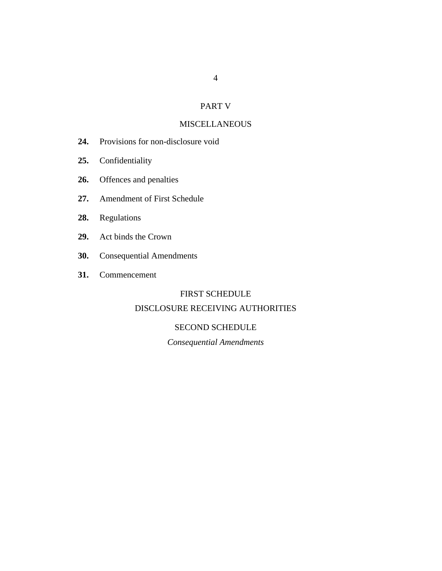# PART V

# **[MISCELLANEOUS](#page-22-0)**

- [Provisions for non-disclosure void](#page-22-0) **24.**
- [Confidentiality](#page-22-0) **25.**
- [Offences and penalties](#page-23-0) **26.**
- [Amendment of First Schedule](#page-24-0) **27.**
- [Regulations](#page-24-0) **28.**
- [Act binds the Crown](#page-24-0) **29.**
- [Consequential Amendments](#page-24-0) **30.**
- [Commencement](#page-24-0) **31.**

#### FIRST SCHEDULE

# [DISCLOSURE RECEIVING AUTHORITIES](#page-25-0)

#### SECOND SCHEDULE

### *Consequential Amendments*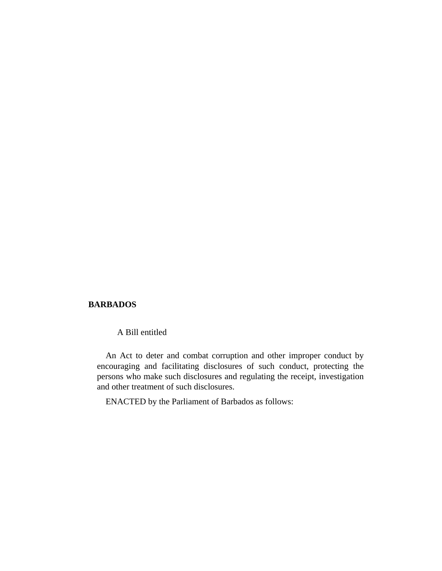#### **BARBADOS**

A Bill entitled

An Act to deter and combat corruption and other improper conduct by encouraging and facilitating disclosures of such conduct, protecting the persons who make such disclosures and regulating the receipt, investigation and other treatment of such disclosures.

ENACTED by the Parliament of Barbados as follows: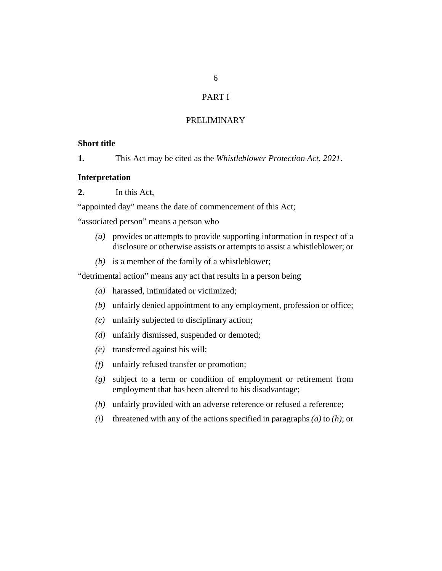### PART I

#### PRELIMINARY

#### <span id="page-5-0"></span>**Short title**

This Act may be cited as the *Whistleblower Protection Act, 2021*. **1.**

#### **Interpretation**

In this Act, **2.**

"appointed day" means the date of commencement of this Act;

"associated person" means a person who

- provides or attempts to provide supporting information in respect of a *(a)* disclosure or otherwise assists or attempts to assist a whistleblower; or
- $(b)$  is a member of the family of a whistleblower;

"detrimental action" means any act that results in a person being

- harassed, intimidated or victimized; *(a)*
- unfairly denied appointment to any employment, profession or office; *(b)*
- unfairly subjected to disciplinary action; *(c)*
- unfairly dismissed, suspended or demoted; *(d)*
- transferred against his will; *(e)*
- unfairly refused transfer or promotion; *(f)*
- subject to a term or condition of employment or retirement from *(g)* employment that has been altered to his disadvantage;
- unfairly provided with an adverse reference or refused a reference; *(h)*
- threatened with any of the actions specified in paragraphs *(a)* to *(h)*; or *(i)*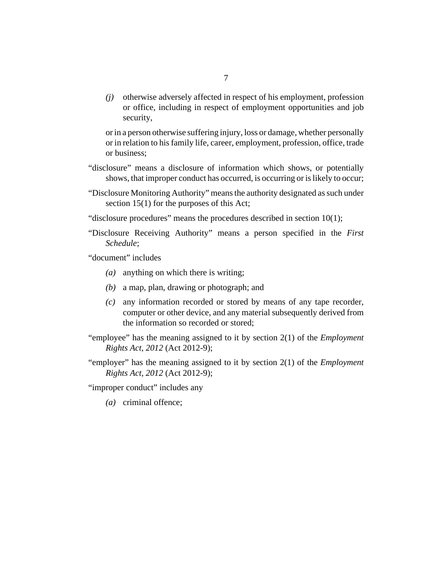otherwise adversely affected in respect of his employment, profession *(j)* or office, including in respect of employment opportunities and job security,

or in a person otherwise suffering injury, loss or damage, whether personally or in relation to his family life, career, employment, profession, office, trade or business;

- "disclosure" means a disclosure of information which shows, or potentially shows, that improper conduct has occurred, is occurring or is likely to occur;
- "Disclosure Monitoring Authority" means the authority designated as such under [section 15](#page-15-0)(1) for the purposes of this Act;
- "disclosure procedures" means the procedures described in [section 10\(](#page-11-0)1);
- "Disclosure Receiving Authority" means a person specified in the *First Schedule*;

"document" includes

- (a) anything on which there is writing;
- a map, plan, drawing or photograph; and *(b)*
- any information recorded or stored by means of any tape recorder, *(c)* computer or other device, and any material subsequently derived from the information so recorded or stored;
- "employee" has the meaning assigned to it by section 2(1) of the *[Employment](http://barbadosparliament-laws.com/en/showdoc/cs/2012_9) [Rights Act, 2012](http://barbadosparliament-laws.com/en/showdoc/cs/2012_9)* (Act 2012-9);
- "employer" has the meaning assigned to it by section 2(1) of the *[Employment](http://barbadosparliament-laws.com/en/showdoc/cs/2012_9) [Rights Act, 2012](http://barbadosparliament-laws.com/en/showdoc/cs/2012_9)* (Act 2012-9);

"improper conduct" includes any

(a) criminal offence;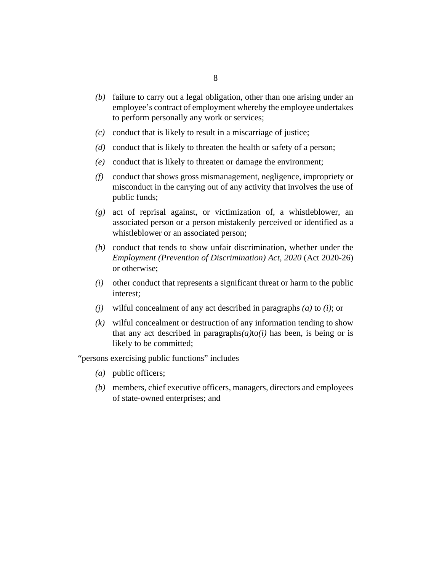- (b) failure to carry out a legal obligation, other than one arising under an employee's contract of employment whereby the employee undertakes to perform personally any work or services;
- conduct that is likely to result in a miscarriage of justice; *(c)*
- conduct that is likely to threaten the health or safety of a person; *(d)*
- conduct that is likely to threaten or damage the environment; *(e)*
- conduct that shows gross mismanagement, negligence, impropriety or *(f)* misconduct in the carrying out of any activity that involves the use of public funds;
- act of reprisal against, or victimization of, a whistleblower, an *(g)* associated person or a person mistakenly perceived or identified as a whistleblower or an associated person;
- conduct that tends to show unfair discrimination, whether under the *(h) [Employment \(Prevention of Discrimination\) Act, 2020](http://barbadosparliament-laws.com/en/showdoc/cs/2020_26)* (Act 2020-26) or otherwise;
- other conduct that represents a significant threat or harm to the public *(i)* interest;
- $(j)$  wilful concealment of any act described in paragraphs  $(a)$  to  $(i)$ ; or
- wilful concealment or destruction of any information tending to show *(k)* that any act described in paragraphs $(a)$ to $(i)$  has been, is being or is likely to be committed;

"persons exercising public functions" includes

- public officers; *(a)*
- members, chief executive officers, managers, directors and employees *(b)* of state-owned enterprises; and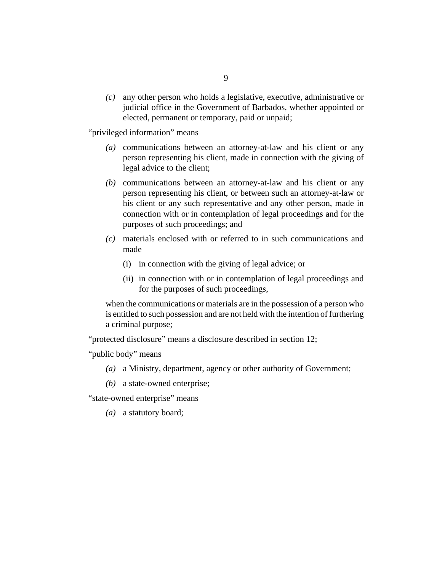any other person who holds a legislative, executive, administrative or *(c)* judicial office in the Government of Barbados, whether appointed or elected, permanent or temporary, paid or unpaid;

"privileged information" means

- communications between an attorney-at-law and his client or any *(a)* person representing his client, made in connection with the giving of legal advice to the client;
- communications between an attorney-at-law and his client or any *(b)* person representing his client, or between such an attorney-at-law or his client or any such representative and any other person, made in connection with or in contemplation of legal proceedings and for the purposes of such proceedings; and
- materials enclosed with or referred to in such communications and *(c)* made
	- (i) in connection with the giving of legal advice; or
	- (ii) in connection with or in contemplation of legal proceedings and for the purposes of such proceedings,

when the communications or materials are in the possession of a person who is entitled to such possession and are not held with the intention of furthering a criminal purpose;

"protected disclosure" means a disclosure described in [section 12](#page-12-0);

"public body" means

- a Ministry, department, agency or other authority of Government; *(a)*
- a state-owned enterprise; *(b)*

"state-owned enterprise" means

(a) a statutory board;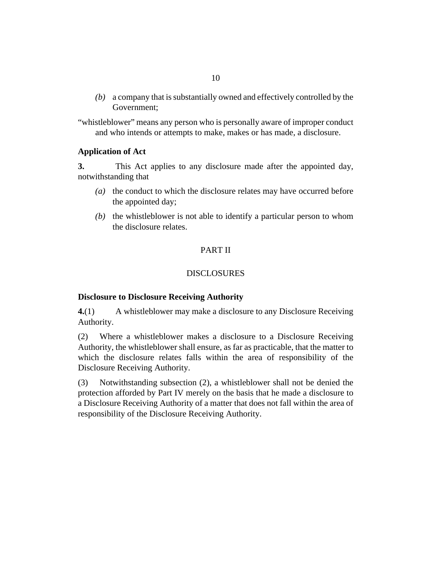<span id="page-9-0"></span>a company that is substantially owned and effectively controlled by the *(b)* Government;

"whistleblower" means any person who is personally aware of improper conduct and who intends or attempts to make, makes or has made, a disclosure.

#### **Application of Act**

This Act applies to any disclosure made after the appointed day, notwithstanding that **3.**

- (a) the conduct to which the disclosure relates may have occurred before the appointed day;
- $(b)$  the whistleblower is not able to identify a particular person to whom the disclosure relates.

#### PART II

#### **DISCLOSURES**

#### **Disclosure to Disclosure Receiving Authority**

A whistleblower may make a disclosure to any Disclosure Receiving Authority. **4.**(1)

Where a whistleblower makes a disclosure to a Disclosure Receiving Authority, the whistleblower shall ensure, as far as practicable, that the matter to which the disclosure relates falls within the area of responsibility of the Disclosure Receiving Authority. (2)

Notwithstanding subsection (2), a whistleblower shall not be denied the protection afforded by Part IV merely on the basis that he made a disclosure to a Disclosure Receiving Authority of a matter that does not fall within the area of responsibility of the Disclosure Receiving Authority. (3)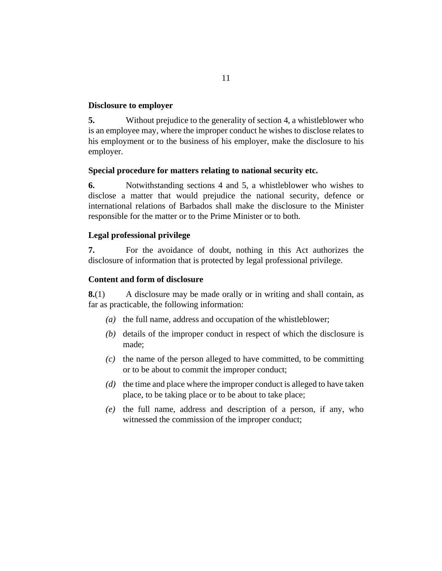#### <span id="page-10-0"></span>**Disclosure to employer**

Without prejudice to the generality of [section 4](#page-9-0), a whistleblower who is an employee may, where the improper conduct he wishes to disclose relates to his employment or to the business of his employer, make the disclosure to his employer. **5.**

#### **Special procedure for matters relating to national security etc.**

Notwithstanding sections [4](#page-9-0) and 5, a whistleblower who wishes to disclose a matter that would prejudice the national security, defence or international relations of Barbados shall make the disclosure to the Minister responsible for the matter or to the Prime Minister or to both. **6.**

#### **Legal professional privilege**

For the avoidance of doubt, nothing in this Act authorizes the disclosure of information that is protected by legal professional privilege. **7.**

#### **Content and form of disclosure**

A disclosure may be made orally or in writing and shall contain, as far as practicable, the following information: **8.**(1)

- ( $a$ ) the full name, address and occupation of the whistleblower;
- (b) details of the improper conduct in respect of which the disclosure is made;
- $\alpha$  the name of the person alleged to have committed, to be committing or to be about to commit the improper conduct;
- (d) the time and place where the improper conduct is alleged to have taken place, to be taking place or to be about to take place;
- $(e)$  the full name, address and description of a person, if any, who witnessed the commission of the improper conduct;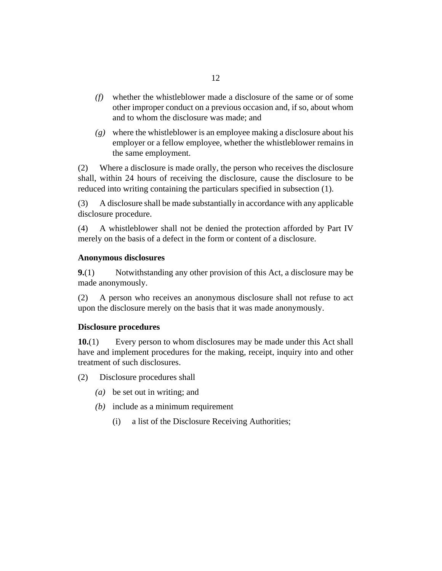- <span id="page-11-0"></span>whether the whistleblower made a disclosure of the same or of some *(f)* other improper conduct on a previous occasion and, if so, about whom and to whom the disclosure was made; and
- where the whistleblower is an employee making a disclosure about his *(g)* employer or a fellow employee, whether the whistleblower remains in the same employment.

Where a disclosure is made orally, the person who receives the disclosure shall, within 24 hours of receiving the disclosure, cause the disclosure to be reduced into writing containing the particulars specified in subsection (1). (2)

A disclosure shall be made substantially in accordance with any applicable disclosure procedure. (3)

A whistleblower shall not be denied the protection afforded by Part IV merely on the basis of a defect in the form or content of a disclosure. (4)

#### **Anonymous disclosures**

Notwithstanding any other provision of this Act, a disclosure may be made anonymously. **9.**(1)

A person who receives an anonymous disclosure shall not refuse to act upon the disclosure merely on the basis that it was made anonymously. (2)

#### **Disclosure procedures**

Every person to whom disclosures may be made under this Act shall have and implement procedures for the making, receipt, inquiry into and other treatment of such disclosures. **10.**(1)

Disclosure procedures shall (2)

- be set out in writing; and *(a)*
- (b) include as a minimum requirement
	- a list of the Disclosure Receiving Authorities; (i)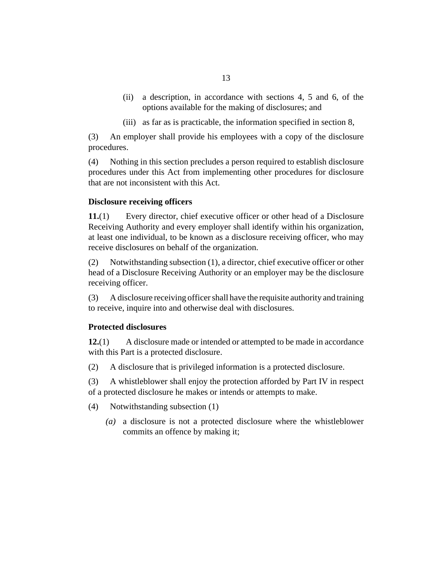- <span id="page-12-0"></span>a description, in accordance with [sections 4,](#page-9-0) [5](#page-10-0) and [6](#page-10-0), of the options available for the making of disclosures; and (ii)
- (iii) as far as is practicable, the information specified in [section 8](#page-10-0),

An employer shall provide his employees with a copy of the disclosure procedures. (3)

Nothing in this section precludes a person required to establish disclosure procedures under this Act from implementing other procedures for disclosure that are not inconsistent with this Act. (4)

#### **Disclosure receiving officers**

Every director, chief executive officer or other head of a Disclosure Receiving Authority and every employer shall identify within his organization, at least one individual, to be known as a disclosure receiving officer, who may receive disclosures on behalf of the organization. **11.**(1)

Notwithstanding subsection (1), a director, chief executive officer or other head of a Disclosure Receiving Authority or an employer may be the disclosure receiving officer. (2)

A disclosure receiving officer shall have the requisite authority and training to receive, inquire into and otherwise deal with disclosures. (3)

#### **Protected disclosures**

A disclosure made or intended or attempted to be made in accordance with this Part is a protected disclosure. **12.**(1)

- A disclosure that is privileged information is a protected disclosure. (2)
- A whistleblower shall enjoy the protection afforded by Part IV in respect of a protected disclosure he makes or intends or attempts to make. (3)
- Notwithstanding subsection (1) (4)
	- a disclosure is not a protected disclosure where the whistleblower *(a)* commits an offence by making it;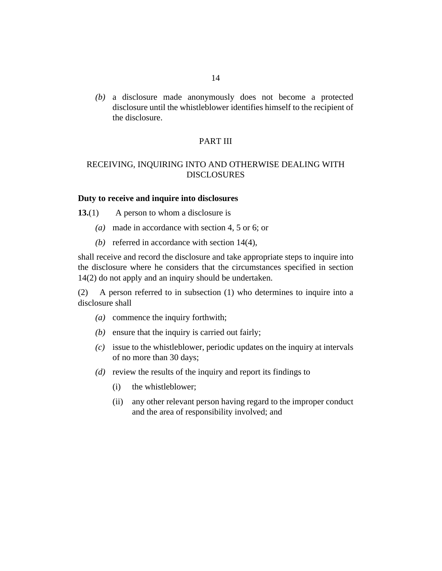<span id="page-13-0"></span>a disclosure made anonymously does not become a protected *(b)* disclosure until the whistleblower identifies himself to the recipient of the disclosure.

#### PART III

### RECEIVING, INQUIRING INTO AND OTHERWISE DEALING WITH DISCLOSURES

#### **Duty to receive and inquire into disclosures**

A person to whom a disclosure is **13.**(1)

- made in accordance with [section 4,](#page-9-0) [5](#page-10-0) or [6;](#page-10-0) or *(a)*
- (b) referred in accordance with section  $14(4)$ ,

shall receive and record the disclosure and take appropriate steps to inquire into the disclosure where he considers that the circumstances specified in [section](#page-14-0) [14\(](#page-14-0)2) do not apply and an inquiry should be undertaken.

A person referred to in subsection (1) who determines to inquire into a disclosure shall (2)

- commence the inquiry forthwith; *(a)*
- $(b)$  ensure that the inquiry is carried out fairly;
- issue to the whistleblower, periodic updates on the inquiry at intervals *(c)* of no more than 30 days;
- (d) review the results of the inquiry and report its findings to
	- the whistleblower; (i)
	- any other relevant person having regard to the improper conduct and the area of responsibility involved; and (ii)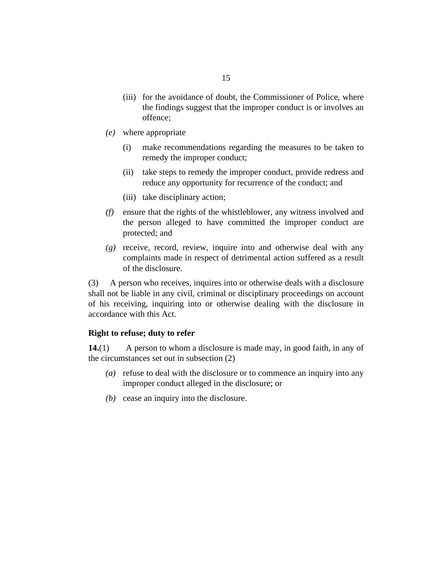- <span id="page-14-0"></span>(iii) for the avoidance of doubt, the Commissioner of Police, where the findings suggest that the improper conduct is or involves an offence;
- where appropriate *(e)*
	- make recommendations regarding the measures to be taken to remedy the improper conduct; (i)
	- (ii) take steps to remedy the improper conduct, provide redress and reduce any opportunity for recurrence of the conduct; and
	- (iii) take disciplinary action;
- ensure that the rights of the whistleblower, any witness involved and *(f)* the person alleged to have committed the improper conduct are protected; and
- receive, record, review, inquire into and otherwise deal with any *(g)* complaints made in respect of detrimental action suffered as a result of the disclosure.

A person who receives, inquires into or otherwise deals with a disclosure shall not be liable in any civil, criminal or disciplinary proceedings on account of his receiving, inquiring into or otherwise dealing with the disclosure in accordance with this Act. (3)

#### **Right to refuse; duty to refer**

A person to whom a disclosure is made may, in good faith, in any of the circumstances set out in subsection (2) **14.**(1)

- refuse to deal with the disclosure or to commence an inquiry into any *(a)* improper conduct alleged in the disclosure; or
- cease an inquiry into the disclosure. *(b)*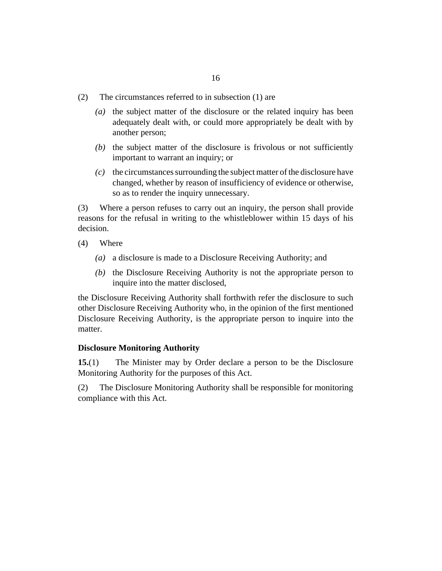- <span id="page-15-0"></span>The circumstances referred to in subsection (1) are (2)
	- $(a)$  the subject matter of the disclosure or the related inquiry has been adequately dealt with, or could more appropriately be dealt with by another person;
	- $(t)$  the subject matter of the disclosure is frivolous or not sufficiently important to warrant an inquiry; or
	- the circumstances surrounding the subject matter of the disclosure have *(c)* changed, whether by reason of insufficiency of evidence or otherwise, so as to render the inquiry unnecessary.

Where a person refuses to carry out an inquiry, the person shall provide reasons for the refusal in writing to the whistleblower within 15 days of his decision. (3)

- Where (4)
	- a disclosure is made to a Disclosure Receiving Authority; and *(a)*
	- (b) the Disclosure Receiving Authority is not the appropriate person to inquire into the matter disclosed,

the Disclosure Receiving Authority shall forthwith refer the disclosure to such other Disclosure Receiving Authority who, in the opinion of the first mentioned Disclosure Receiving Authority, is the appropriate person to inquire into the matter.

#### **Disclosure Monitoring Authority**

The Minister may by Order declare a person to be the Disclosure Monitoring Authority for the purposes of this Act. **15.**(1)

The Disclosure Monitoring Authority shall be responsible for monitoring compliance with this Act. (2)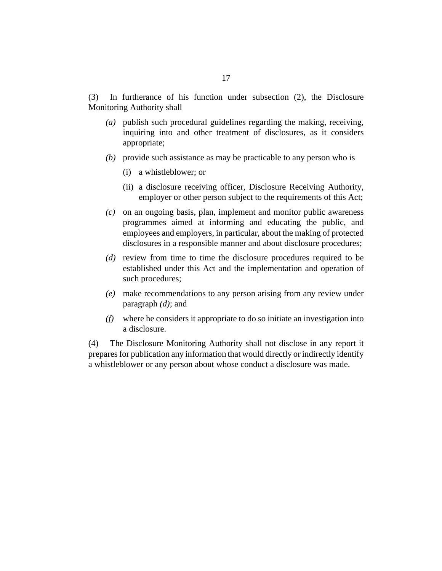In furtherance of his function under subsection (2), the Disclosure Monitoring Authority shall (3)

- publish such procedural guidelines regarding the making, receiving, *(a)* inquiring into and other treatment of disclosures, as it considers appropriate;
- provide such assistance as may be practicable to any person who is *(b)*
	- a whistleblower; or (i)
	- (ii) a disclosure receiving officer, Disclosure Receiving Authority, employer or other person subject to the requirements of this Act;
- on an ongoing basis, plan, implement and monitor public awareness *(c)* programmes aimed at informing and educating the public, and employees and employers, in particular, about the making of protected disclosures in a responsible manner and about disclosure procedures;
- (d) review from time to time the disclosure procedures required to be established under this Act and the implementation and operation of such procedures;
- make recommendations to any person arising from any review under *(e)* paragraph *(d)*; and
- where he considers it appropriate to do so initiate an investigation into *(f)* a disclosure.

The Disclosure Monitoring Authority shall not disclose in any report it prepares for publication any information that would directly or indirectly identify a whistleblower or any person about whose conduct a disclosure was made. (4)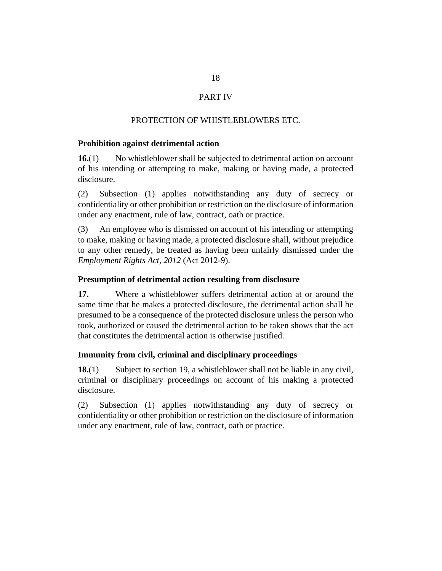# PART IV

### PROTECTION OF WHISTLEBLOWERS ETC.

#### <span id="page-17-0"></span>**Prohibition against detrimental action**

No whistleblower shall be subjected to detrimental action on account of his intending or attempting to make, making or having made, a protected disclosure. **16.**(1)

Subsection (1) applies notwithstanding any duty of secrecy or confidentiality or other prohibition or restriction on the disclosure of information under any enactment, rule of law, contract, oath or practice. (2)

An employee who is dismissed on account of his intending or attempting to make, making or having made, a protected disclosure shall, without prejudice to any other remedy, be treated as having been unfairly dismissed under the *[Employment Rights Act, 2012](http://barbadosparliament-laws.com/en/showdoc/cs/2012_9)* (Act 2012-9). (3)

#### **Presumption of detrimental action resulting from disclosure**

Where a whistleblower suffers detrimental action at or around the same time that he makes a protected disclosure, the detrimental action shall be presumed to be a consequence of the protected disclosure unless the person who took, authorized or caused the detrimental action to be taken shows that the act that constitutes the detrimental action is otherwise justified. **17.**

#### **Immunity from civil, criminal and disciplinary proceedings**

Subject to [section 19](#page-18-0), a whistleblower shall not be liable in any civil, criminal or disciplinary proceedings on account of his making a protected disclosure. **18.**(1)

Subsection (1) applies notwithstanding any duty of secrecy or confidentiality or other prohibition or restriction on the disclosure of information under any enactment, rule of law, contract, oath or practice. (2)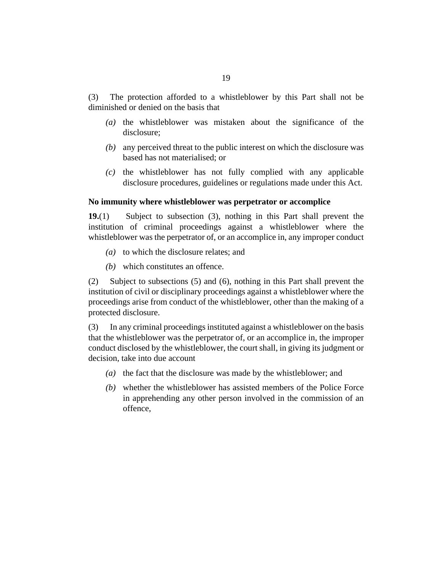<span id="page-18-0"></span>The protection afforded to a whistleblower by this Part shall not be diminished or denied on the basis that (3)

- $(a)$  the whistleblower was mistaken about the significance of the disclosure;
- any perceived threat to the public interest on which the disclosure was *(b)* based has not materialised; or
- $(c)$  the whistleblower has not fully complied with any applicable disclosure procedures, guidelines or regulations made under this Act.

#### **No immunity where whistleblower was perpetrator or accomplice**

Subject to subsection (3), nothing in this Part shall prevent the institution of criminal proceedings against a whistleblower where the whistleblower was the perpetrator of, or an accomplice in, any improper conduct **19.**(1)

- (a) to which the disclosure relates; and
- which constitutes an offence. *(b)*

Subject to subsections (5) and (6), nothing in this Part shall prevent the institution of civil or disciplinary proceedings against a whistleblower where the proceedings arise from conduct of the whistleblower, other than the making of a protected disclosure. (2)

In any criminal proceedings instituted against a whistleblower on the basis that the whistleblower was the perpetrator of, or an accomplice in, the improper conduct disclosed by the whistleblower, the court shall, in giving its judgment or decision, take into due account (3)

- (a) the fact that the disclosure was made by the whistleblower; and
- whether the whistleblower has assisted members of the Police Force *(b)* in apprehending any other person involved in the commission of an offence,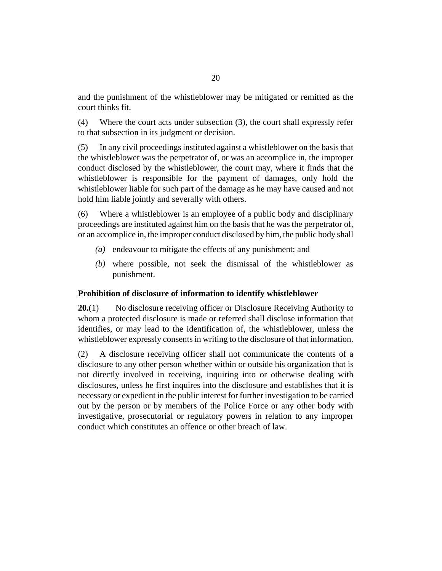<span id="page-19-0"></span>and the punishment of the whistleblower may be mitigated or remitted as the court thinks fit.

Where the court acts under subsection (3), the court shall expressly refer to that subsection in its judgment or decision. (4)

In any civil proceedings instituted against a whistleblower on the basis that the whistleblower was the perpetrator of, or was an accomplice in, the improper conduct disclosed by the whistleblower, the court may, where it finds that the whistleblower is responsible for the payment of damages, only hold the whistleblower liable for such part of the damage as he may have caused and not hold him liable jointly and severally with others. (5)

Where a whistleblower is an employee of a public body and disciplinary proceedings are instituted against him on the basis that he was the perpetrator of, or an accomplice in, the improper conduct disclosed by him, the public body shall (6)

- (a) endeavour to mitigate the effects of any punishment; and
- where possible, not seek the dismissal of the whistleblower as *(b)* punishment.

#### **Prohibition of disclosure of information to identify whistleblower**

No disclosure receiving officer or Disclosure Receiving Authority to whom a protected disclosure is made or referred shall disclose information that identifies, or may lead to the identification of, the whistleblower, unless the whistleblower expressly consents in writing to the disclosure of that information. **20.**(1)

A disclosure receiving officer shall not communicate the contents of a disclosure to any other person whether within or outside his organization that is not directly involved in receiving, inquiring into or otherwise dealing with disclosures, unless he first inquires into the disclosure and establishes that it is necessary or expedient in the public interest for further investigation to be carried out by the person or by members of the Police Force or any other body with investigative, prosecutorial or regulatory powers in relation to any improper conduct which constitutes an offence or other breach of law. (2)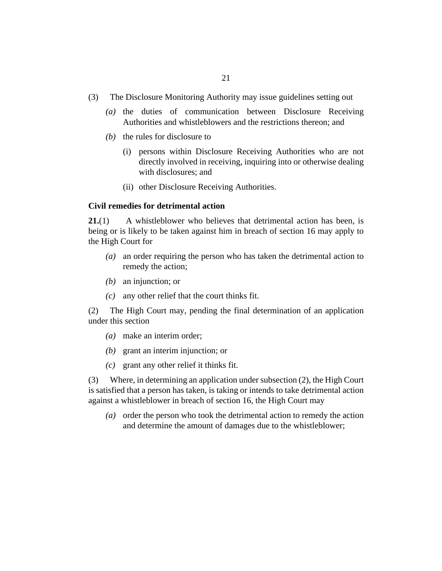- <span id="page-20-0"></span>The Disclosure Monitoring Authority may issue guidelines setting out (3)
	- (a) the duties of communication between Disclosure Receiving Authorities and whistleblowers and the restrictions thereon; and
	- $(b)$  the rules for disclosure to
		- (i) persons within Disclosure Receiving Authorities who are not directly involved in receiving, inquiring into or otherwise dealing with disclosures; and
		- (ii) other Disclosure Receiving Authorities.

#### **Civil remedies for detrimental action**

A whistleblower who believes that detrimental action has been, is being or is likely to be taken against him in breach of [section 16](#page-17-0) may apply to the High Court for **21.**(1)

- an order requiring the person who has taken the detrimental action to *(a)* remedy the action;
- (b) an injunction; or
- $(c)$  any other relief that the court thinks fit.

The High Court may, pending the final determination of an application under this section (2)

- make an interim order; *(a)*
- (b) grant an interim injunction; or
- grant any other relief it thinks fit. *(c)*

Where, in determining an application under subsection (2), the High Court is satisfied that a person has taken, is taking or intends to take detrimental action against a whistleblower in breach of [section 16](#page-17-0), the High Court may (3)

(a) order the person who took the detrimental action to remedy the action and determine the amount of damages due to the whistleblower;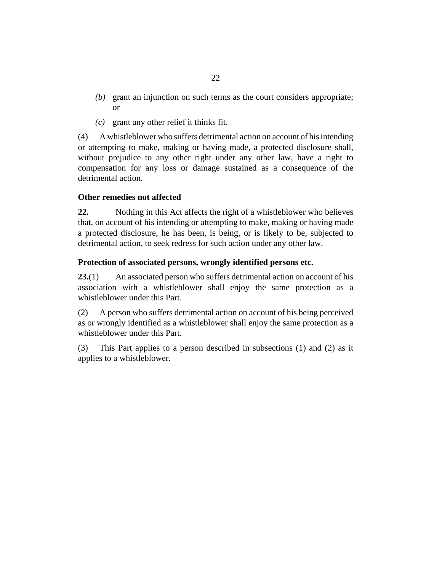- <span id="page-21-0"></span>(b) grant an injunction on such terms as the court considers appropriate; or
- grant any other relief it thinks fit. *(c)*

A whistleblower who suffers detrimental action on account of his intending or attempting to make, making or having made, a protected disclosure shall, without prejudice to any other right under any other law, have a right to compensation for any loss or damage sustained as a consequence of the detrimental action. (4)

#### **Other remedies not affected**

Nothing in this Act affects the right of a whistleblower who believes that, on account of his intending or attempting to make, making or having made a protected disclosure, he has been, is being, or is likely to be, subjected to detrimental action, to seek redress for such action under any other law. **22.**

#### **Protection of associated persons, wrongly identified persons etc.**

An associated person who suffers detrimental action on account of his association with a whistleblower shall enjoy the same protection as a whistleblower under this Part. **23.**(1)

A person who suffers detrimental action on account of his being perceived as or wrongly identified as a whistleblower shall enjoy the same protection as a whistleblower under this Part. (2)

This Part applies to a person described in subsections (1) and (2) as it applies to a whistleblower. (3)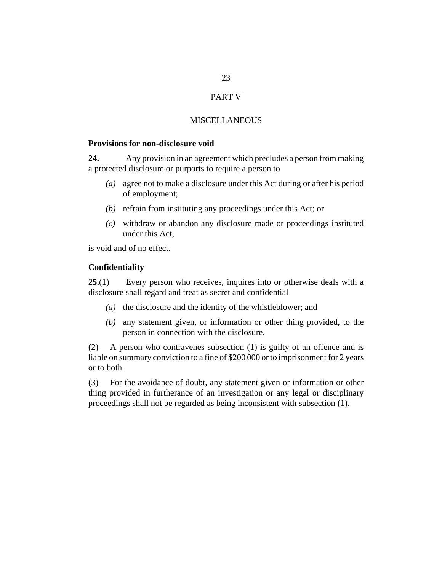#### PART V

#### MISCELLANEOUS

#### <span id="page-22-0"></span>**Provisions for non-disclosure void**

Any provision in an agreement which precludes a person from making a protected disclosure or purports to require a person to **24.**

- agree not to make a disclosure under this Act during or after his period *(a)* of employment;
- (b) refrain from instituting any proceedings under this Act; or
- withdraw or abandon any disclosure made or proceedings instituted *(c)* under this Act,

is void and of no effect.

#### **Confidentiality**

Every person who receives, inquires into or otherwise deals with a disclosure shall regard and treat as secret and confidential **25.**(1)

- (a) the disclosure and the identity of the whistleblower; and
- any statement given, or information or other thing provided, to the *(b)* person in connection with the disclosure.

A person who contravenes subsection (1) is guilty of an offence and is liable on summary conviction to a fine of \$200 000 or to imprisonment for 2 years or to both. (2)

For the avoidance of doubt, any statement given or information or other thing provided in furtherance of an investigation or any legal or disciplinary proceedings shall not be regarded as being inconsistent with subsection (1). (3)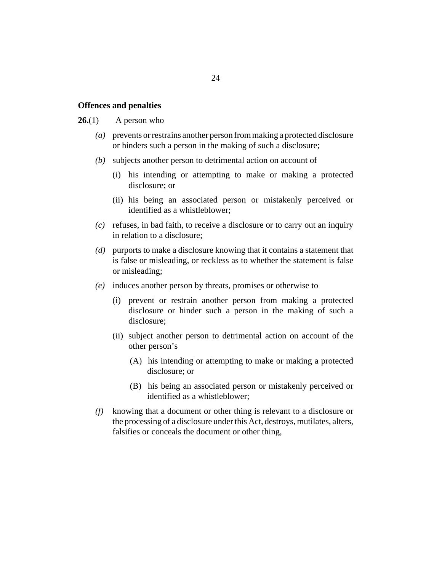#### <span id="page-23-0"></span>**Offences and penalties**

#### A person who **26.**(1)

- prevents or restrains another person from making a protected disclosure *(a)* or hinders such a person in the making of such a disclosure;
- subjects another person to detrimental action on account of *(b)*
	- (i) his intending or attempting to make or making a protected disclosure; or
	- (ii) his being an associated person or mistakenly perceived or identified as a whistleblower;
- refuses, in bad faith, to receive a disclosure or to carry out an inquiry *(c)* in relation to a disclosure;
- purports to make a disclosure knowing that it contains a statement that *(d)* is false or misleading, or reckless as to whether the statement is false or misleading;
- induces another person by threats, promises or otherwise to *(e)*
	- (i) prevent or restrain another person from making a protected disclosure or hinder such a person in the making of such a disclosure;
	- (ii) subject another person to detrimental action on account of the other person's
		- (A) his intending or attempting to make or making a protected disclosure; or
		- (B) his being an associated person or mistakenly perceived or identified as a whistleblower;
- knowing that a document or other thing is relevant to a disclosure or *(f)* the processing of a disclosure under this Act, destroys, mutilates, alters, falsifies or conceals the document or other thing,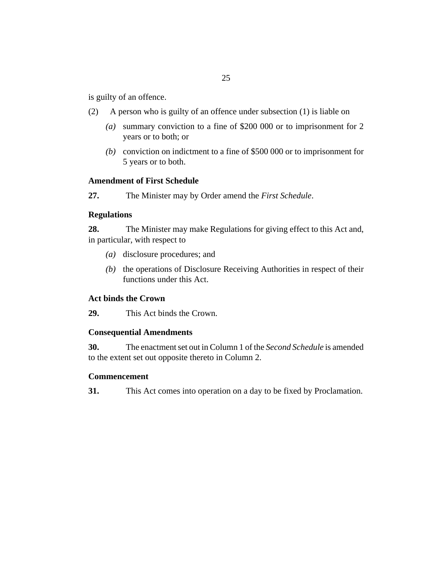<span id="page-24-0"></span>is guilty of an offence.

- A person who is guilty of an offence under subsection (1) is liable on (2)
	- summary conviction to a fine of \$200 000 or to imprisonment for 2 *(a)* years or to both; or
	- conviction on indictment to a fine of \$500 000 or to imprisonment for *(b)* 5 years or to both.

#### **Amendment of First Schedule**

The Minister may by Order amend the *First Schedule*. **27.**

#### **Regulations**

The Minister may make Regulations for giving effect to this Act and, in particular, with respect to **28.**

- (a) disclosure procedures; and
- (b) the operations of Disclosure Receiving Authorities in respect of their functions under this Act.

#### **Act binds the Crown**

This Act binds the Crown. **29.**

#### **Consequential Amendments**

The enactment set out in Column 1 of the *Second Schedule* is amended to the extent set out opposite thereto in Column 2. **30.**

#### **Commencement**

This Act comes into operation on a day to be fixed by Proclamation. **31.**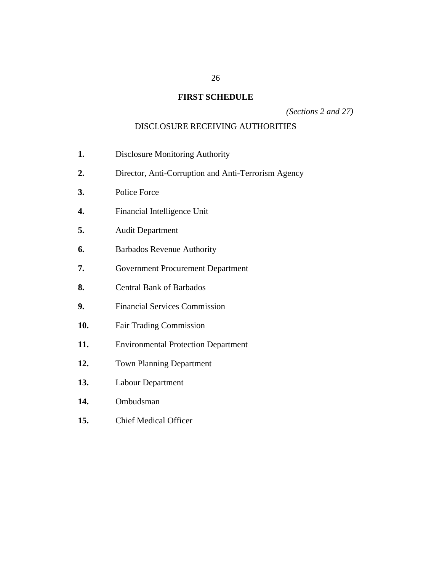# **FIRST SCHEDULE**

*(Sections 2 and 27)*

### DISCLOSURE RECEIVING AUTHORITIES

- <span id="page-25-0"></span>Disclosure Monitoring Authority **1.**
- Director, Anti-Corruption and Anti-Terrorism Agency **2.**
- Police Force **3.**
- Financial Intelligence Unit **4.**
- Audit Department **5.**
- Barbados Revenue Authority **6.**
- Government Procurement Department **7.**
- Central Bank of Barbados **8.**
- Financial Services Commission **9.**
- Fair Trading Commission **10.**
- Environmental Protection Department **11.**
- Town Planning Department **12.**
- Labour Department **13.**
- Ombudsman **14.**
- Chief Medical Officer **15.**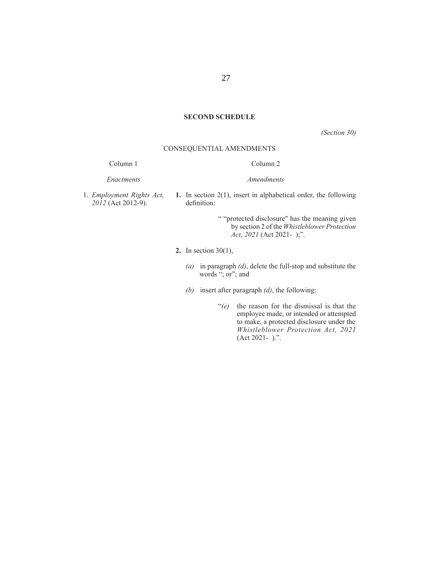#### **SECOND SCHEDULE**

*(Section 30)*

#### CONSEQUENTIAL AMENDMENTS

Column 1

#### Column 2

*Enactments*

*Amendments*

1. *Employment Rights Act, 2012* (Act 2012-9).

**1.** In section 2(1), insert in alphabetical order, the following definition:

> " "protected disclosure" has the meaning given by section 2 of the *Whistleblower Protection Act, 2021* (Act 2021- );".

- **2.** In section 30(1),
	- *(a)* in paragraph *(d)*, delete the full-stop and substitute the words "; or"; and
	- *(b)* insert after paragraph *(d)*, the following:
		- "*(e)* the reason for the dismissal is that the employee made, or intended or attempted to make, a protected disclosure under the *Whistleblower Protection Act, 2021* (Act 2021- ).".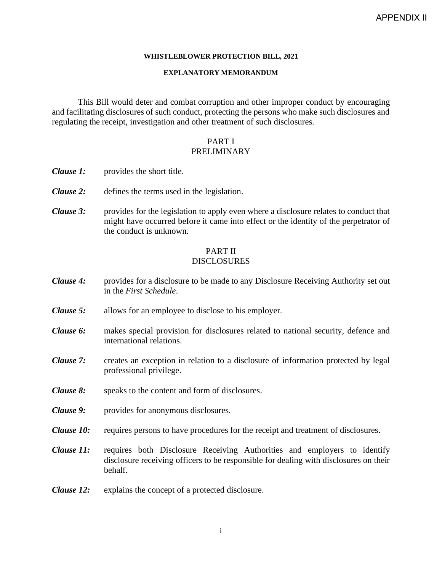#### **WHISTLEBLOWER PROTECTION BILL, 2021**

#### **EXPLANATORY MEMORANDUM**

This Bill would deter and combat corruption and other improper conduct by encouraging and facilitating disclosures of such conduct, protecting the persons who make such disclosures and regulating the receipt, investigation and other treatment of such disclosures.

#### PART I PRELIMINARY

- *Clause 1:* provides the short title.
- *Clause 2:* defines the terms used in the legislation.
- *Clause 3:* provides for the legislation to apply even where a disclosure relates to conduct that might have occurred before it came into effect or the identity of the perpetrator of the conduct is unknown.

#### PART II DISCLOSURES

- *Clause 4:* provides for a disclosure to be made to any Disclosure Receiving Authority set out in the *First Schedule*.
- *Clause 5:* allows for an employee to disclose to his employer.
- *Clause 6:* makes special provision for disclosures related to national security, defence and international relations.
- *Clause 7:* creates an exception in relation to a disclosure of information protected by legal professional privilege.
- *Clause 8:* speaks to the content and form of disclosures.
- *Clause 9:* provides for anonymous disclosures.
- *Clause 10:* requires persons to have procedures for the receipt and treatment of disclosures.
- *Clause 11:* requires both Disclosure Receiving Authorities and employers to identify disclosure receiving officers to be responsible for dealing with disclosures on their behalf.
- *Clause 12:* explains the concept of a protected disclosure.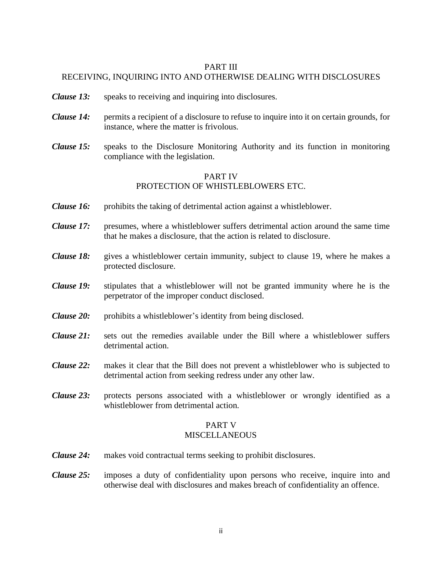#### PART III

## RECEIVING, INQUIRING INTO AND OTHERWISE DEALING WITH DISCLOSURES

- *Clause 13:* speaks to receiving and inquiring into disclosures.
- *Clause 14:* permits a recipient of a disclosure to refuse to inquire into it on certain grounds, for instance, where the matter is frivolous.
- *Clause 15:* speaks to the Disclosure Monitoring Authority and its function in monitoring compliance with the legislation.

### PART IV PROTECTION OF WHISTLEBLOWERS ETC.

- *Clause 16:* prohibits the taking of detrimental action against a whistleblower.
- *Clause 17:* presumes, where a whistleblower suffers detrimental action around the same time that he makes a disclosure, that the action is related to disclosure.
- *Clause 18:* gives a whistleblower certain immunity, subject to clause 19, where he makes a protected disclosure.
- *Clause 19:* stipulates that a whistleblower will not be granted immunity where he is the perpetrator of the improper conduct disclosed.
- *Clause 20:* prohibits a whistleblower's identity from being disclosed.
- *Clause 21:* sets out the remedies available under the Bill where a whistleblower suffers detrimental action.
- *Clause 22:* makes it clear that the Bill does not prevent a whistleblower who is subjected to detrimental action from seeking redress under any other law.
- *Clause 23:* protects persons associated with a whistleblower or wrongly identified as a whistleblower from detrimental action.

# PART V

#### MISCELLANEOUS

- *Clause 24:* makes void contractual terms seeking to prohibit disclosures.
- *Clause 25:* imposes a duty of confidentiality upon persons who receive, inquire into and otherwise deal with disclosures and makes breach of confidentiality an offence.